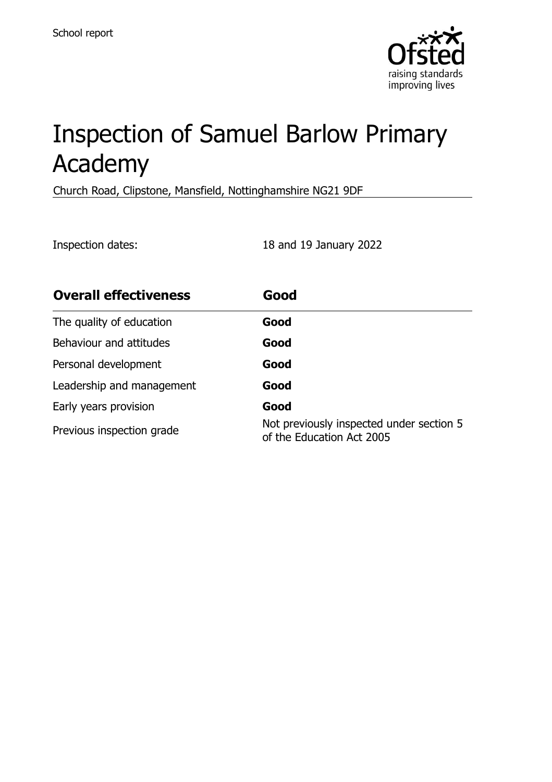

# Inspection of Samuel Barlow Primary Academy

Church Road, Clipstone, Mansfield, Nottinghamshire NG21 9DF

Inspection dates: 18 and 19 January 2022

| <b>Overall effectiveness</b> | Good                                                                  |
|------------------------------|-----------------------------------------------------------------------|
| The quality of education     | Good                                                                  |
| Behaviour and attitudes      | Good                                                                  |
| Personal development         | Good                                                                  |
| Leadership and management    | Good                                                                  |
| Early years provision        | Good                                                                  |
| Previous inspection grade    | Not previously inspected under section 5<br>of the Education Act 2005 |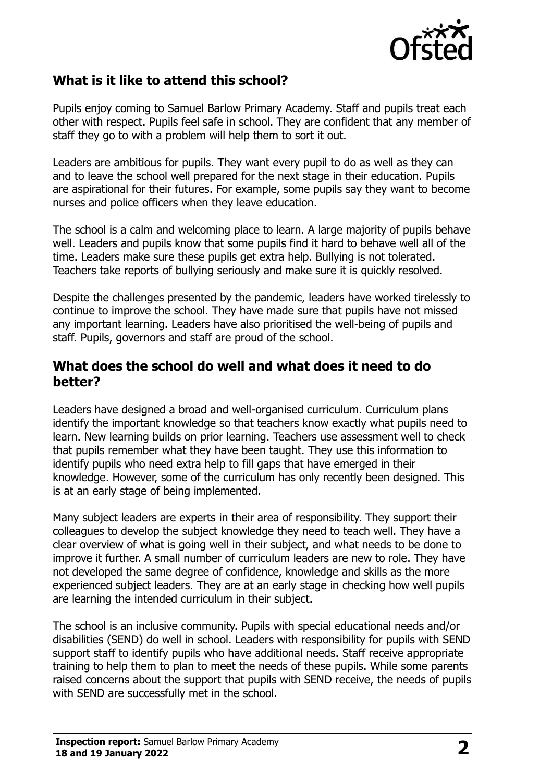

## **What is it like to attend this school?**

Pupils enjoy coming to Samuel Barlow Primary Academy. Staff and pupils treat each other with respect. Pupils feel safe in school. They are confident that any member of staff they go to with a problem will help them to sort it out.

Leaders are ambitious for pupils. They want every pupil to do as well as they can and to leave the school well prepared for the next stage in their education. Pupils are aspirational for their futures. For example, some pupils say they want to become nurses and police officers when they leave education.

The school is a calm and welcoming place to learn. A large majority of pupils behave well. Leaders and pupils know that some pupils find it hard to behave well all of the time. Leaders make sure these pupils get extra help. Bullying is not tolerated. Teachers take reports of bullying seriously and make sure it is quickly resolved.

Despite the challenges presented by the pandemic, leaders have worked tirelessly to continue to improve the school. They have made sure that pupils have not missed any important learning. Leaders have also prioritised the well-being of pupils and staff. Pupils, governors and staff are proud of the school.

#### **What does the school do well and what does it need to do better?**

Leaders have designed a broad and well-organised curriculum. Curriculum plans identify the important knowledge so that teachers know exactly what pupils need to learn. New learning builds on prior learning. Teachers use assessment well to check that pupils remember what they have been taught. They use this information to identify pupils who need extra help to fill gaps that have emerged in their knowledge. However, some of the curriculum has only recently been designed. This is at an early stage of being implemented.

Many subject leaders are experts in their area of responsibility. They support their colleagues to develop the subject knowledge they need to teach well. They have a clear overview of what is going well in their subject, and what needs to be done to improve it further. A small number of curriculum leaders are new to role. They have not developed the same degree of confidence, knowledge and skills as the more experienced subject leaders. They are at an early stage in checking how well pupils are learning the intended curriculum in their subject.

The school is an inclusive community. Pupils with special educational needs and/or disabilities (SEND) do well in school. Leaders with responsibility for pupils with SEND support staff to identify pupils who have additional needs. Staff receive appropriate training to help them to plan to meet the needs of these pupils. While some parents raised concerns about the support that pupils with SEND receive, the needs of pupils with SEND are successfully met in the school.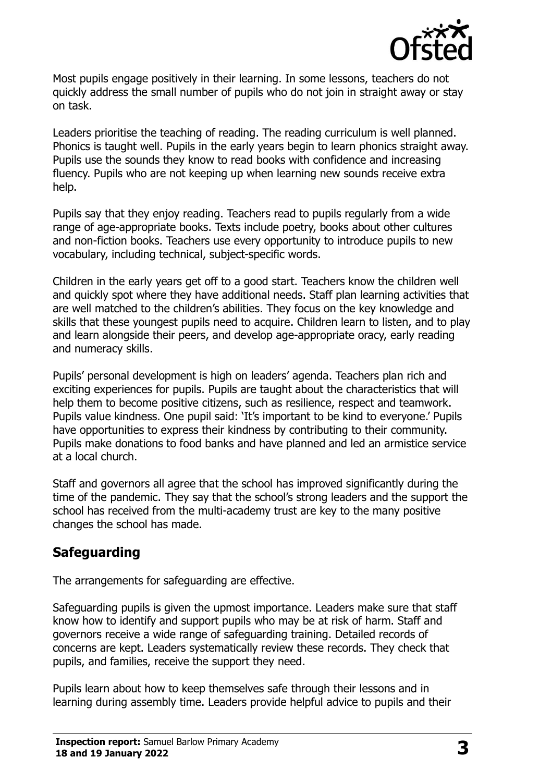

Most pupils engage positively in their learning. In some lessons, teachers do not quickly address the small number of pupils who do not join in straight away or stay on task.

Leaders prioritise the teaching of reading. The reading curriculum is well planned. Phonics is taught well. Pupils in the early years begin to learn phonics straight away. Pupils use the sounds they know to read books with confidence and increasing fluency. Pupils who are not keeping up when learning new sounds receive extra help.

Pupils say that they enjoy reading. Teachers read to pupils regularly from a wide range of age-appropriate books. Texts include poetry, books about other cultures and non-fiction books. Teachers use every opportunity to introduce pupils to new vocabulary, including technical, subject-specific words.

Children in the early years get off to a good start. Teachers know the children well and quickly spot where they have additional needs. Staff plan learning activities that are well matched to the children's abilities. They focus on the key knowledge and skills that these youngest pupils need to acquire. Children learn to listen, and to play and learn alongside their peers, and develop age-appropriate oracy, early reading and numeracy skills.

Pupils' personal development is high on leaders' agenda. Teachers plan rich and exciting experiences for pupils. Pupils are taught about the characteristics that will help them to become positive citizens, such as resilience, respect and teamwork. Pupils value kindness. One pupil said: 'It's important to be kind to everyone.' Pupils have opportunities to express their kindness by contributing to their community. Pupils make donations to food banks and have planned and led an armistice service at a local church.

Staff and governors all agree that the school has improved significantly during the time of the pandemic. They say that the school's strong leaders and the support the school has received from the multi-academy trust are key to the many positive changes the school has made.

## **Safeguarding**

The arrangements for safeguarding are effective.

Safeguarding pupils is given the upmost importance. Leaders make sure that staff know how to identify and support pupils who may be at risk of harm. Staff and governors receive a wide range of safeguarding training. Detailed records of concerns are kept. Leaders systematically review these records. They check that pupils, and families, receive the support they need.

Pupils learn about how to keep themselves safe through their lessons and in learning during assembly time. Leaders provide helpful advice to pupils and their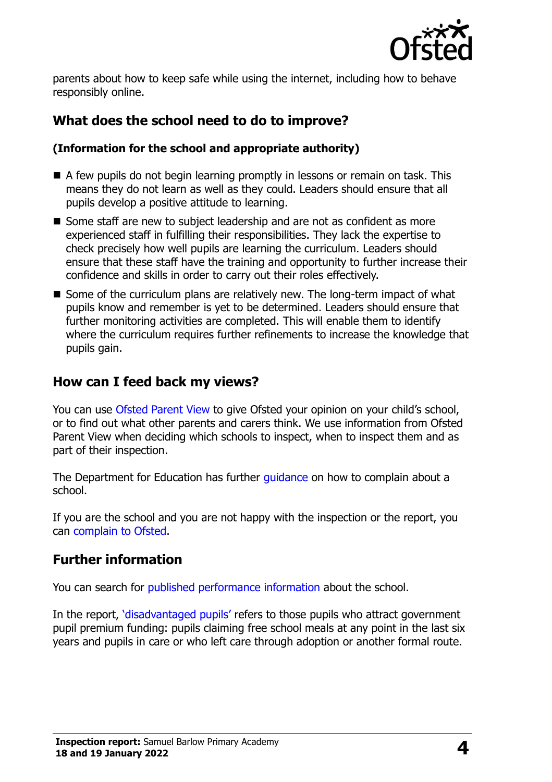

parents about how to keep safe while using the internet, including how to behave responsibly online.

## **What does the school need to do to improve?**

#### **(Information for the school and appropriate authority)**

- A few pupils do not begin learning promptly in lessons or remain on task. This means they do not learn as well as they could. Leaders should ensure that all pupils develop a positive attitude to learning.
- Some staff are new to subject leadership and are not as confident as more experienced staff in fulfilling their responsibilities. They lack the expertise to check precisely how well pupils are learning the curriculum. Leaders should ensure that these staff have the training and opportunity to further increase their confidence and skills in order to carry out their roles effectively.
- Some of the curriculum plans are relatively new. The long-term impact of what pupils know and remember is yet to be determined. Leaders should ensure that further monitoring activities are completed. This will enable them to identify where the curriculum requires further refinements to increase the knowledge that pupils gain.

### **How can I feed back my views?**

You can use [Ofsted Parent View](http://parentview.ofsted.gov.uk/) to give Ofsted your opinion on your child's school, or to find out what other parents and carers think. We use information from Ofsted Parent View when deciding which schools to inspect, when to inspect them and as part of their inspection.

The Department for Education has further quidance on how to complain about a school.

If you are the school and you are not happy with the inspection or the report, you can [complain to Ofsted.](http://www.gov.uk/complain-ofsted-report)

## **Further information**

You can search for [published performance information](http://www.compare-school-performance.service.gov.uk/) about the school.

In the report, '[disadvantaged pupils](http://www.gov.uk/guidance/pupil-premium-information-for-schools-and-alternative-provision-settings)' refers to those pupils who attract government pupil premium funding: pupils claiming free school meals at any point in the last six years and pupils in care or who left care through adoption or another formal route.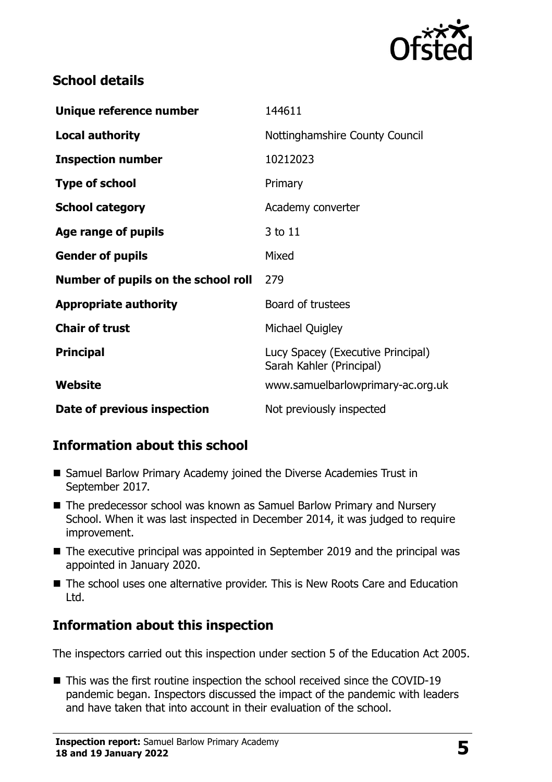

## **School details**

| Unique reference number             | 144611                                                        |
|-------------------------------------|---------------------------------------------------------------|
| <b>Local authority</b>              | Nottinghamshire County Council                                |
| <b>Inspection number</b>            | 10212023                                                      |
| <b>Type of school</b>               | Primary                                                       |
| <b>School category</b>              | Academy converter                                             |
| Age range of pupils                 | 3 to 11                                                       |
| <b>Gender of pupils</b>             | Mixed                                                         |
| Number of pupils on the school roll | 279                                                           |
| <b>Appropriate authority</b>        | Board of trustees                                             |
| <b>Chair of trust</b>               | Michael Quigley                                               |
| <b>Principal</b>                    | Lucy Spacey (Executive Principal)<br>Sarah Kahler (Principal) |
| Website                             | www.samuelbarlowprimary-ac.org.uk                             |
| Date of previous inspection         | Not previously inspected                                      |

# **Information about this school**

- Samuel Barlow Primary Academy joined the Diverse Academies Trust in September 2017.
- The predecessor school was known as Samuel Barlow Primary and Nursery School. When it was last inspected in December 2014, it was judged to require improvement.
- The executive principal was appointed in September 2019 and the principal was appointed in January 2020.
- The school uses one alternative provider. This is New Roots Care and Education Ltd.

## **Information about this inspection**

The inspectors carried out this inspection under section 5 of the Education Act 2005.

■ This was the first routine inspection the school received since the COVID-19 pandemic began. Inspectors discussed the impact of the pandemic with leaders and have taken that into account in their evaluation of the school.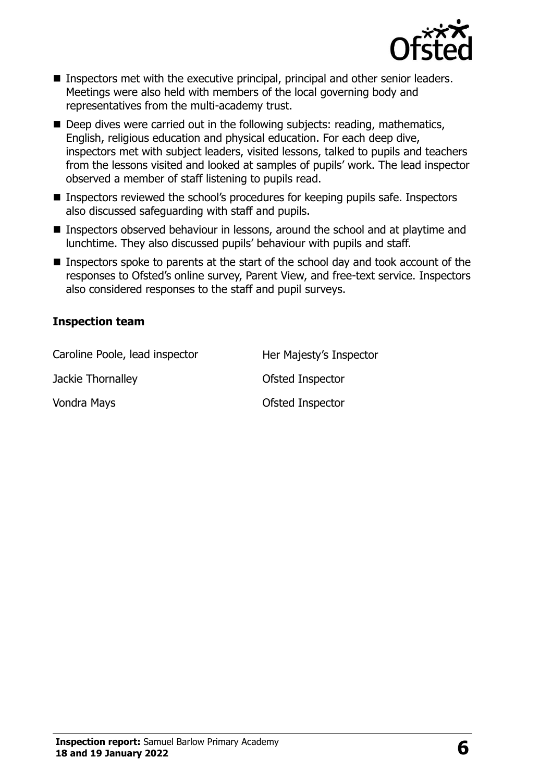

- Inspectors met with the executive principal, principal and other senior leaders. Meetings were also held with members of the local governing body and representatives from the multi-academy trust.
- Deep dives were carried out in the following subjects: reading, mathematics, English, religious education and physical education. For each deep dive, inspectors met with subject leaders, visited lessons, talked to pupils and teachers from the lessons visited and looked at samples of pupils' work. The lead inspector observed a member of staff listening to pupils read.
- Inspectors reviewed the school's procedures for keeping pupils safe. Inspectors also discussed safeguarding with staff and pupils.
- Inspectors observed behaviour in lessons, around the school and at playtime and lunchtime. They also discussed pupils' behaviour with pupils and staff.
- Inspectors spoke to parents at the start of the school day and took account of the responses to Ofsted's online survey, Parent View, and free-text service. Inspectors also considered responses to the staff and pupil surveys.

#### **Inspection team**

Caroline Poole, lead inspector Her Majesty's Inspector

Jackie Thornalley **Disk and Separate Inspector** Vondra Mays **Vondra Mays Vondra Mays CONSTANDING CONSTANDING OF STATE OF STATE OF STATE OF STATE OF STATE OF STATE OF STATE OF STATE OF STATE OF STATE OF STATE OF STATE OF STATE OF STATE OF STATE OF STATE OF STATE OF S**